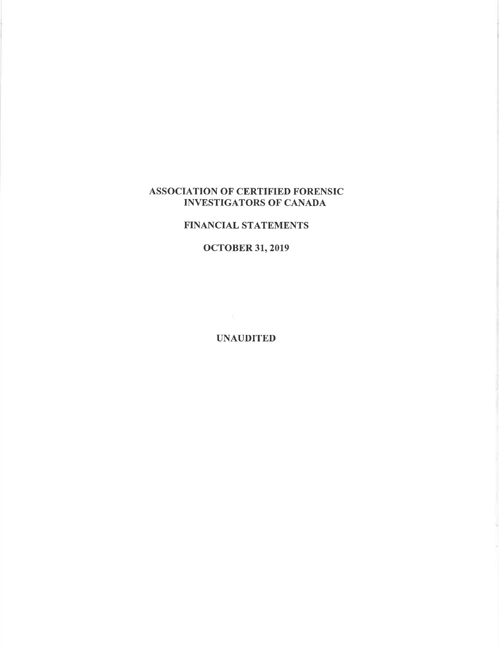# ASSOCIATION OF CERTIFIED FORENSIC INVESTIGATORS OF CANADA

### FINANCIAL STATEMENTS

# ocToBER 31,2019

UNAUDITED

 $\sim$  100  $\mu$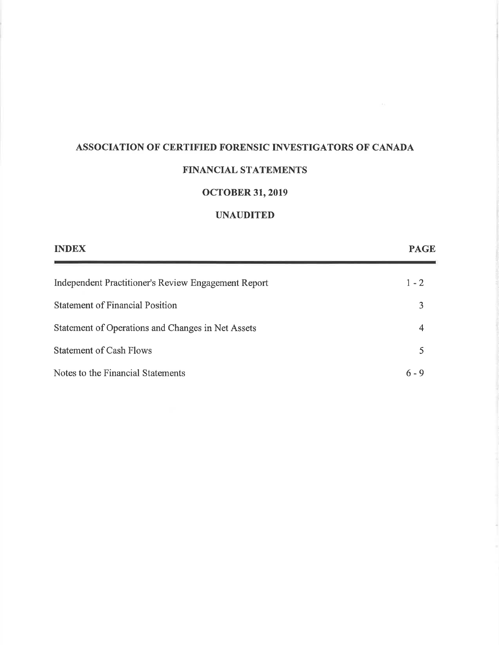# ASSOCIATION OF CERTIFIED FORENSIC INVESTIGATORS OF CANADA

# FINANCIAL STATEMENTS

# ocToBER 31,2019

# UNAUDITED

| <b>INDEX</b>                                        | <b>PAGE</b> |
|-----------------------------------------------------|-------------|
| Independent Practitioner's Review Engagement Report | $1 - 2$     |
| <b>Statement of Financial Position</b>              | 3           |
| Statement of Operations and Changes in Net Assets   | 4           |
| <b>Statement of Cash Flows</b>                      | 5           |
| Notes to the Financial Statements                   | $6 - 9$     |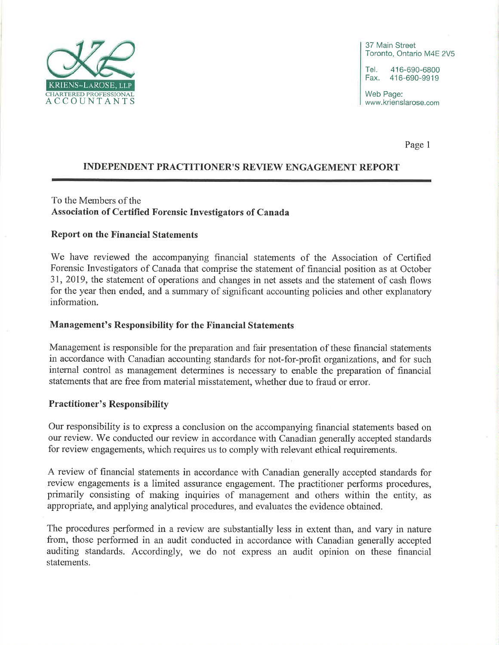

37 Main Street Toronto, Ontario M4E 2V5

Tel. 416-690-6800<br>Fax. 416-690-9919 Fax. 416-690-9919

Web Page: www.krienslarose.com

Page <sup>1</sup>

# INDEPENDENT PRACTITIONER'S REVIEW ENGAGEMENT REPORT

### To the Members of the Association of Certified Forensic Investigators of Canada

#### Report on the Financial Statements

We have reviewed the accompanying financial statements of the Association of Certified Forensic Investigators of Canada that comprise the statement of financial position as at October 31,2019, the statement of operations and changes in net assets and the statement of cash flows for the year then ended, and a summary of significant accounting policies and other explanatory information.

#### Management's Responsibility for the Financial Statements

Management is responsible for the preparation and fair presentation of these financial statements in accordance with Canadian accounting standards for not-for-profit organizations, and for such internal control as management determines is necessary to enable the preparation of financial statements that are free from material misstatement, whether due to fraud or error.

#### Practitioner's Responsibility

Our responsibility is to express a conclusion on the accompanying financial statements based on our review. We conducted our review in accordance with Canadian generally accepted standards for review engagements, which requires us to comply with relevant ethical requirements.

A review of financial statements in accordance with Canadian generally accepted standards for review engagements is a limited assurance engagement. The practitioner performs procedures, primarily consisting of making inquiries of management and others within the entity, as appropriate, and applying analytical procedures, and evaluates the evidence obtained.

The procedures performed in a review are substantially less in extent than, and vary in nature from, those performed in an audit conducted in accordance with Canadian generally accepted auditing standards. Accordingly, we do not express an audit opinion on these financial statements.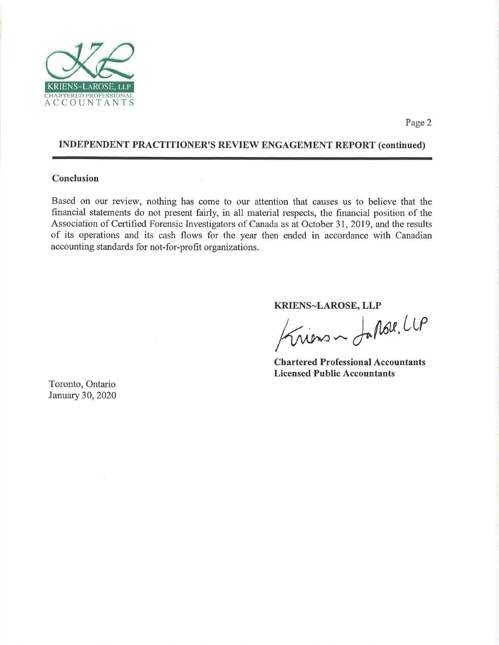

## INDEPENDENT PRACTITIONER'S REVIEW ENGAGEMENT REPORT (continued)

V

#### Conclusion

Based on our review, nothing has come to our attention that causes us to believe that the financial statements do not present fairly, in all material respects, the financial position of the Association of Certified Forensic Investigators of Canada as at October 31, 2019, and the results of its operations and its cash flows for the year then ended in accordance with Canadian accounting standards for not-for-profit organizations.

KRIENS-LAROSE, LLP

liens ~ Japone LLP

Chartered Professional Accountants Licensed Public Accountants

Toronto, Ontario January 30,2020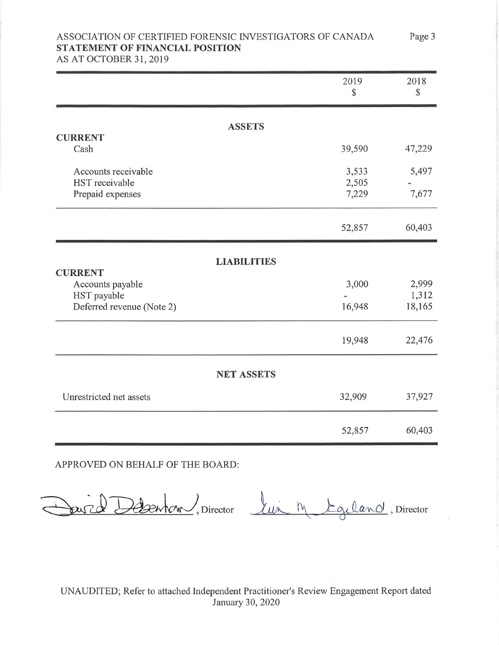# ASSOCIATION OF CERTIFIED FORENSIC INVESTIGATORS OF CANADA STATEMENT OF FINANCIAL POSITION

Page 3

AS AT OCTOBER 31, 2019

|                                                                  | 2019<br>\$              | 2018<br>\$     |  |  |
|------------------------------------------------------------------|-------------------------|----------------|--|--|
|                                                                  | <b>ASSETS</b>           |                |  |  |
| <b>CURRENT</b><br>Cash                                           | 39,590                  | 47,229         |  |  |
| Accounts receivable<br><b>HST</b> receivable<br>Prepaid expenses | 3,533<br>2,505<br>7,229 | 5,497<br>7,677 |  |  |
|                                                                  | 52,857                  | 60,403         |  |  |
| <b>CURRENT</b>                                                   | <b>LIABILITIES</b>      |                |  |  |
| Accounts payable<br>HST payable                                  | 3,000                   | 2,999<br>1,312 |  |  |
| Deferred revenue (Note 2)                                        | 16,948                  | 18,165         |  |  |
|                                                                  | 19,948                  | 22,476         |  |  |
| <b>NET ASSETS</b>                                                |                         |                |  |  |
| Unrestricted net assets                                          | 32,909                  | 37,927         |  |  |
|                                                                  | 52,857                  | 60,403         |  |  |

APPROVED ON BEHALF OF THE BOARD:

Jurel Debenton, Director lui M Egiland, Director

UNAUDITED; Refer to attached Independent Practitioner's Review Engagement Report dated January 30,2020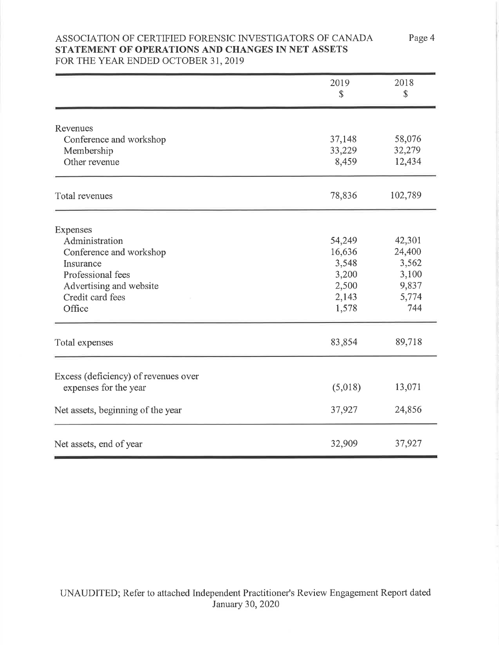# ASSOCIATION OF CERTIFIED FORENSIC INVESTIGATORS OF CANADA STATEMENT OF OPERATIONS AND CHANGES IN NET ASSETS FOR THE YEAR ENDED OCTOBER 31, 2019

|                                      | 2019<br>\$ | 2018<br>\$ |
|--------------------------------------|------------|------------|
|                                      |            |            |
| Revenues                             |            |            |
| Conference and workshop              | 37,148     | 58,076     |
| Membership                           | 33,229     | 32,279     |
| Other revenue                        | 8,459      | 12,434     |
| Total revenues                       | 78,836     | 102,789    |
| Expenses                             |            |            |
| Administration                       | 54,249     | 42,301     |
| Conference and workshop              | 16,636     | 24,400     |
| Insurance                            | 3,548      | 3,562      |
| Professional fees                    | 3,200      | 3,100      |
| Advertising and website              | 2,500      | 9,837      |
| Credit card fees                     | 2,143      | 5,774      |
| Office                               | 1,578      | 744        |
| Total expenses                       | 83,854     | 89,718     |
| Excess (deficiency) of revenues over |            |            |
| expenses for the year                | (5,018)    | 13,071     |
| Net assets, beginning of the year    | 37,927     | 24,856     |
| Net assets, end of year              | 32,909     | 37,927     |

Page 4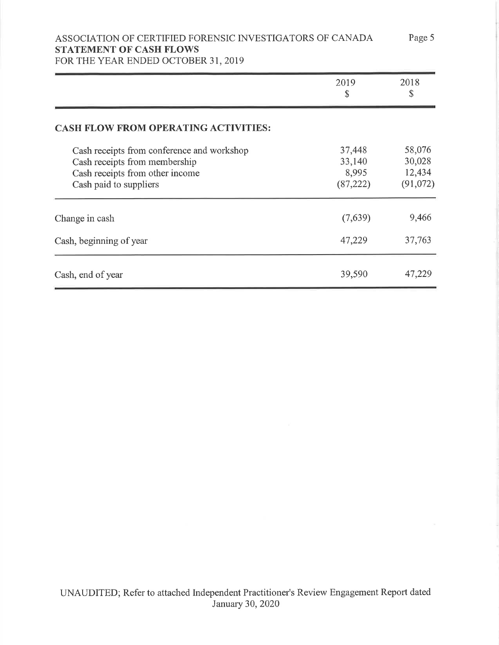# ASSOCIATION OF CERTIFIED FORENSIC INVESTIGATORS OF CANADA STATEMENT OF CASH FLOWS

FOR THE YEAR ENDED OCTOBER 31, 2019

|                                                                                                                                          | 2019<br>\$                             | 2018<br>\$                             |
|------------------------------------------------------------------------------------------------------------------------------------------|----------------------------------------|----------------------------------------|
| <b>CASH FLOW FROM OPERATING ACTIVITIES:</b>                                                                                              |                                        |                                        |
| Cash receipts from conference and workshop<br>Cash receipts from membership<br>Cash receipts from other income<br>Cash paid to suppliers | 37,448<br>33,140<br>8,995<br>(87, 222) | 58,076<br>30,028<br>12,434<br>(91,072) |
| Change in cash                                                                                                                           | (7,639)                                | 9,466                                  |
| Cash, beginning of year                                                                                                                  | 47,229                                 | 37,763                                 |
| Cash, end of year                                                                                                                        | 39,590                                 | 47,229                                 |

Page 5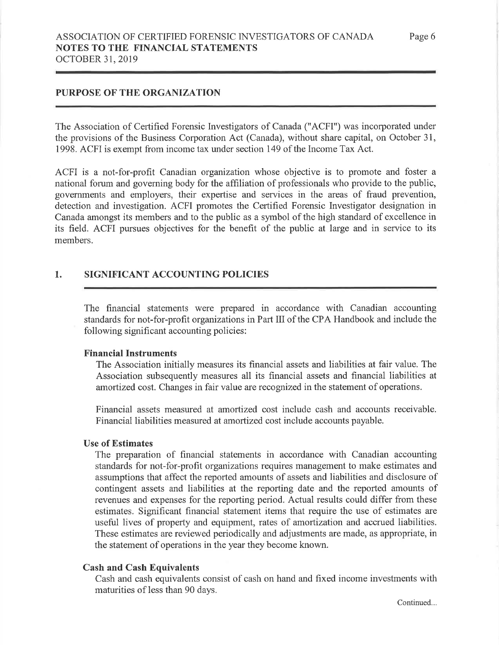# PURPOSE OF THE ORGANIZATION

The Association of Certified Forensic Investigators of Canada ("ACFI") was incorporated under the provisions of the Business Corporation Act (Canada), without share capital, on October 31, 1998. ACFI is exempt from income tax under section 149 of the Income Tax Act.

ACFI is a not-for-profit Canadian organization whose objective is to promote and foster <sup>a</sup> national forum and governing body for the affiliation of professionals who provide to the public, governments and employers, their expertise and services in the areas of fraud prevention, detection and investigation. ACFI promotes the Certified Forensic Investigator designation in Canada amongst its members and to the public as a symbol of the high standard of excellence in its field. ACFI pursues objectives for the benefit of the public at large and in service to its members.

#### 1. SIGNIFICANT ACCOUNTING POLICIES

The financial statements were prepared in accordance with Canadian accounting standards for not-for-profit organizations in Part III of the CPA Handbook and include the following significant accounting policies:

#### Financial fnstruments

The Association initially measures its financial assets and liabilities at fair value. The Association subsequently measures all its financial assets and financial liabilities at amortized cost. Changes in fair value are recognized in the statement of operations.

Financial assets measured at amortized cost include cash and accounts receivable. Financial liabilities measured at amortized cost include accounts payable.

#### Use of Estimates

The preparation of financial statements in accordance with Canadian accounting standards for not-for-profit organizations requires management to make estimates and assumptions that affect the reported amounts of assets and liabilities and disclosure of contingent assets and liabilities at the reporting date and the reported amounts of revenues and expenses for the reporting period. Actual results could differ from these estimates. Significant financial statement items that require the use of estimates are useful lives of property and equipment, rates of amortization and accrued liabilities. These estimates are reviewed periodically and adjustments are made, as appropriate, in the statement of operations in the year they become known.

#### Cash and Cash Equivalents

Cash and cash equivalents consist of cash on hand and fixed income investments with maturities of less than 90 days.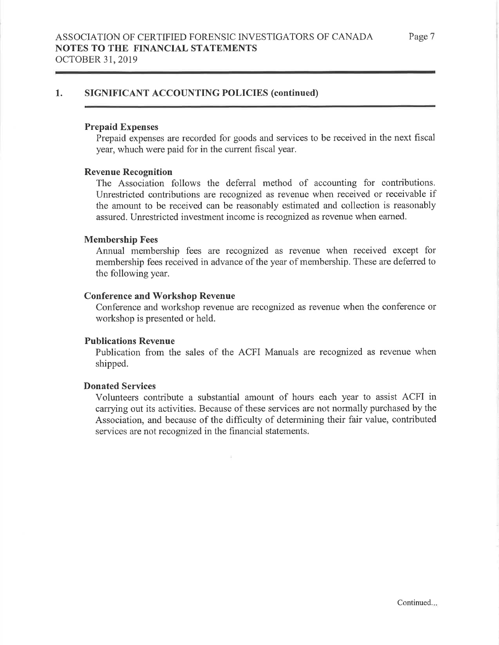# 1. SIGNIFICANT ACCOUNTING POLICIES (continued)

#### Prepaid Expenses

Prepaid expenses are recorded for goods and services to be received in the next fiscal year, whuch were paid for in the current fiscal year.

#### Revenue Recognition

The Association follows the deferral method of accounting for contributions. Unrestricted contributions are recognized as revenue when received or receivable if the amount to be received can be reasonably estimated and collection is reasonably assured. Unrestricted investment income is recognized as revenue when eamed.

#### Membership Fees

Annual membership fees are recognized as revenue when received except for membership fees received in advance of the year of membership. These are deferred to the following year.

#### Conference and Workshop Revenue

Conference and workshop revenue are recognized as revenue when the conference or workshop is presented or held.

#### Publications Revenue

Publication from the sales of the ACFI Manuals are recognized as revenue when shipped.

### Donated Services

Volunteers contribute a substantial amount of hours each year to assist ACFI in carrying out its activities. Because of these services are not normally purchased by the Association, and because of the difficulty of determining their fair value, contributed services are not recognized in the financial statements.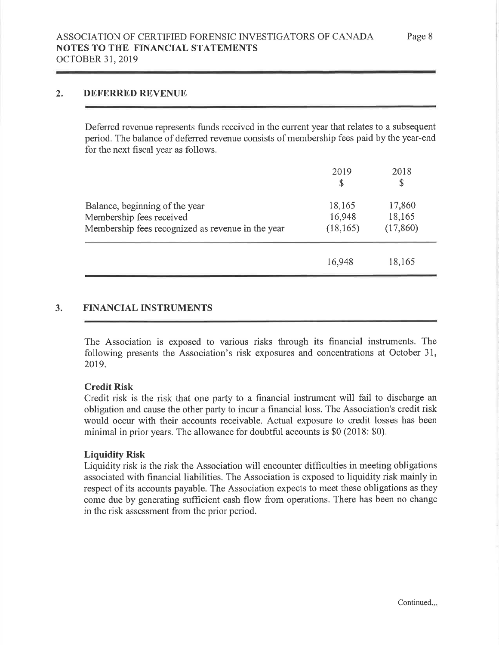# 2. DEFERRED REVENUE

Deferred revenue represents funds received in the current year that relates to a subsequent period. The balance of deferred revenue consists of membership fees paid by the year-end for the next fiscal year as follows.

|                                                                                                                 | 2019<br>S                     | 2018<br>\$                    |  |
|-----------------------------------------------------------------------------------------------------------------|-------------------------------|-------------------------------|--|
| Balance, beginning of the year<br>Membership fees received<br>Membership fees recognized as revenue in the year | 18,165<br>16,948<br>(18, 165) | 17,860<br>18,165<br>(17, 860) |  |
|                                                                                                                 | 16,948                        | 18,165                        |  |

# 3. FINANCIAL INSTRUMENTS

The Association is exposed to various risks through its financial instruments. The following presents the Association's risk exposures and concentrations at October 31, 2019.

## Credit Risk

Credit risk is the risk that one party to a financial instrument will fail to discharge an obligation and cause the other party to incur a financial loss. The Association's credit risk would occur with their accounts receivable. Actual exposure to credit losses has been minimal in prior years. The allowance for doubtful accounts is \$0 (2018: \$0).

## Liquidify Risk

Liquidity risk is the risk the Association will encounter difficulties in meeting obligations associated with financial liabilities. The Association is exposed to liquidity risk mainly in respect of its accounts payable. The Association expects to meet these obligations as they come due by generating sufficient cash flow from operations. There has been no change in the risk assessment from the prior period.